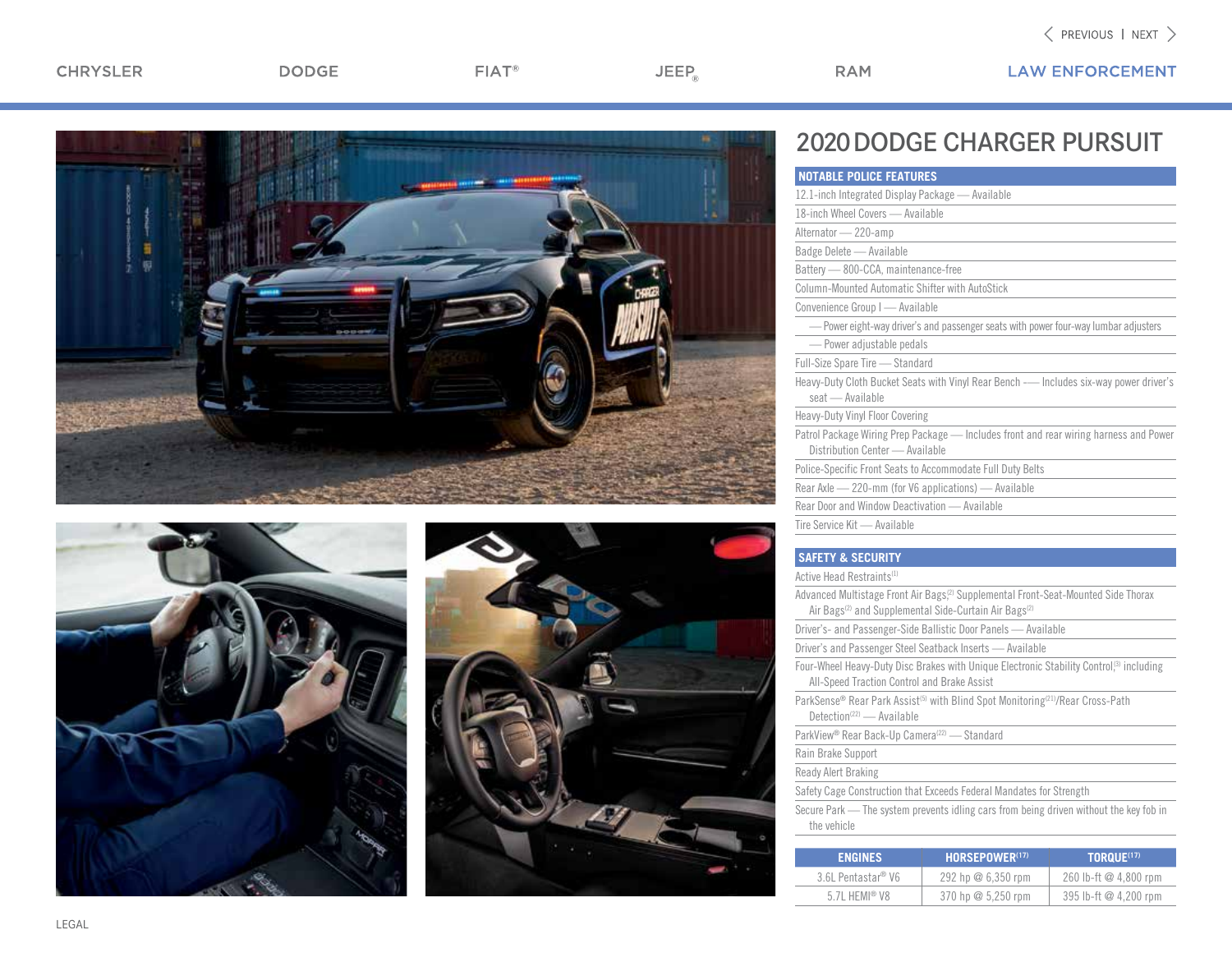$FIAT^*$ 

 $JEEP_{\circledcirc}$ 

**RAM** 







## 2020 DODGE CHARGER PURSUIT

| <b>NOTABLE POLICE FEATURES</b>                                                                                           |  |
|--------------------------------------------------------------------------------------------------------------------------|--|
| 12.1-inch Integrated Display Package - Available                                                                         |  |
| 18-inch Wheel Covers - Available                                                                                         |  |
| Alternator - 220-amp                                                                                                     |  |
| Badge Delete - Available                                                                                                 |  |
| Battery -800-CCA, maintenance-free                                                                                       |  |
| Column-Mounted Automatic Shifter with AutoStick                                                                          |  |
| Convenience Group I - Available                                                                                          |  |
| - Power eight-way driver's and passenger seats with power four-way lumbar adjusters                                      |  |
| -Power adjustable pedals                                                                                                 |  |
| Full-Size Spare Tire - Standard                                                                                          |  |
| Heavy-Duty Cloth Bucket Seats with Vinyl Rear Bench -- Includes six-way power driver's<br>seat - Available               |  |
| <b>Heavy-Duty Vinyl Floor Covering</b>                                                                                   |  |
| Patrol Package Wiring Prep Package — Includes front and rear wiring harness and Power<br>Distribution Center — Available |  |
| Police-Specific Front Seats to Accommodate Full Duty Belts                                                               |  |
| Rear Axle - 220-mm (for V6 applications) - Available                                                                     |  |
| Rear Door and Window Deactivation — Available                                                                            |  |
| Tire Service Kit — Available                                                                                             |  |

## **SAFETY & SECURITY**

Active Head Restraints(1)

| FNGINFS                                                              | <b>HORSEPOWER(17)</b>                                                                                                                                                           | TORQUE(17) |
|----------------------------------------------------------------------|---------------------------------------------------------------------------------------------------------------------------------------------------------------------------------|------------|
|                                                                      |                                                                                                                                                                                 |            |
| the vehicle                                                          |                                                                                                                                                                                 |            |
|                                                                      | Secure Park — The system prevents idling cars from being driven without the key fob in                                                                                          |            |
|                                                                      | Safety Cage Construction that Exceeds Federal Mandates for Strength                                                                                                             |            |
| Ready Alert Braking                                                  |                                                                                                                                                                                 |            |
| Rain Brake Support                                                   |                                                                                                                                                                                 |            |
| ParkView <sup>®</sup> Rear Back-Up Camera <sup>(22)</sup> — Standard |                                                                                                                                                                                 |            |
| Detection <sup>(22)</sup> - Available                                | ParkSense® Rear Park Assist <sup>(5)</sup> with Blind Spot Monitoring <sup>(21)</sup> /Rear Cross-Path                                                                          |            |
| All-Speed Traction Control and Brake Assist                          | Four-Wheel Heavy-Duty Disc Brakes with Unique Electronic Stability Control <sup>(3)</sup> including                                                                             |            |
|                                                                      | Driver's and Passenger Steel Seatback Inserts — Available                                                                                                                       |            |
|                                                                      | Driver's- and Passenger-Side Ballistic Door Panels - Available                                                                                                                  |            |
|                                                                      | Advanced Multistage Front Air Bags. <sup>(2)</sup> Supplemental Front-Seat-Mounted Side Thorax<br>Air Bags <sup>(2)</sup> and Supplemental Side-Curtain Air Bags <sup>(2)</sup> |            |
| 7 10 LIVO TIOUU TIOULIUITILU                                         |                                                                                                                                                                                 |            |

| <b>ENGINES</b>                 | <b>HORSEPOWER(17)</b> | <b>TORQUE(17)</b>     |
|--------------------------------|-----------------------|-----------------------|
| 3.6L Pentastar <sup>®</sup> V6 | 292 hp $@6,350$ rpm   | 260 lb-ft @ 4,800 rpm |
| 5.7L HEMI <sup>®</sup> V8      | 370 hp $@5,250$ rpm   | 395 lb-ft @ 4.200 rpm |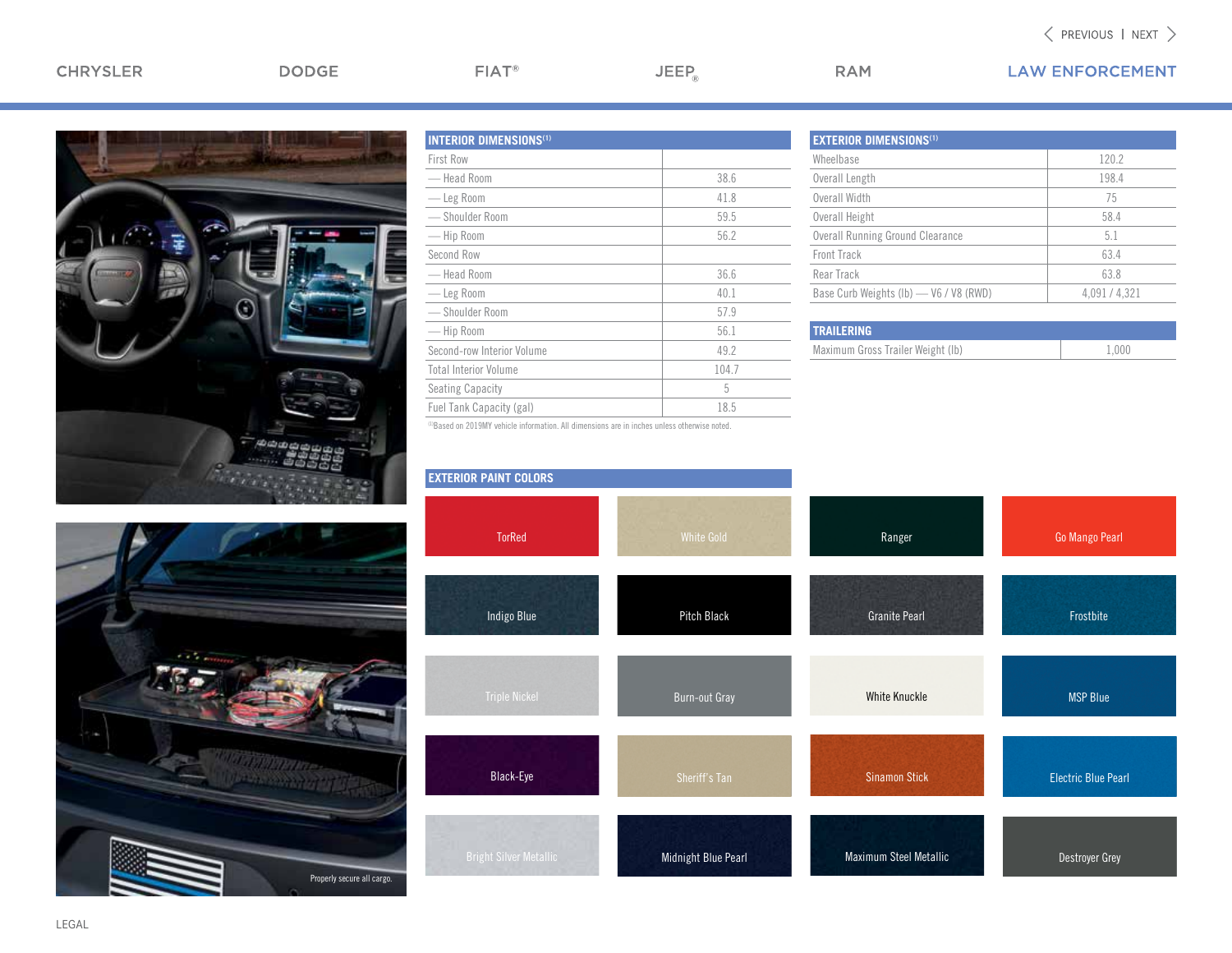## CHRYSLER

 $FIAT^*$ 

 $JEEP_{\circledcirc}$ 

**LAW ENFORCEMENT** 



|  | THE ELECTRIC STATE |                            |
|--|--------------------|----------------------------|
|  |                    | Properly secure all cargo. |

| <b>INTERIOR DIMENSIONS(1)</b> |       |
|-------------------------------|-------|
| <b>First Row</b>              |       |
| — Head Room                   | 38.6  |
| — Leg Room                    | 41.8  |
| - Shoulder Room               | 59.5  |
| -Hip Room                     | 56.2  |
| Second Row                    |       |
| — Head Room                   | 36.6  |
| — Leg Room                    | 40.1  |
| -Shoulder Room                | 57.9  |
| — Hip Room                    | 56.1  |
| Second-row Interior Volume    | 49.2  |
| <b>Total Interior Volume</b>  | 104.7 |
| <b>Seating Capacity</b>       | 5     |
| Fuel Tank Capacity (gal)      | 18.5  |

| <b>EXTERIOR DIMENSIONS(1)</b>           |             |
|-----------------------------------------|-------------|
| Wheelbase                               | 120.2       |
| Overall Length                          | 198.4       |
| Overall Width                           | 75          |
| Overall Height                          | 58.4        |
| <b>Overall Running Ground Clearance</b> | 5.1         |
| Front Track                             | 63.4        |
| Rear Track                              | 63.8        |
| Base Curb Weights (Ib) - V6 / V8 (RWD)  | 4.091/4.321 |
|                                         |             |

| <b>TRAILERING</b>                 |       |
|-----------------------------------|-------|
| Maximum Gross Trailer Weight (Ib) | 1.000 |

| <b>EXTERIOR PAINT COLORS</b>  |                      |                        |                            |
|-------------------------------|----------------------|------------------------|----------------------------|
| <b>TorRed</b>                 | <b>White Gold</b>    | Ranger                 | Go Mango Pearl             |
| <b>Indigo Blue</b>            | Pitch Black          | <b>Granite Pearl</b>   | Frostbite                  |
| <b>Triple Nickel</b>          | <b>Burn-out Gray</b> | <b>White Knuckle</b>   | <b>MSP Blue</b>            |
| Black-Eye                     | Sheriff's Tan        | <b>Sinamon Stick</b>   | <b>Electric Blue Pearl</b> |
| <b>Bright Silver Metallic</b> | Midnight Blue Pearl  | Maximum Steel Metallic | Destroyer Grey             |

**RAM** 

(1)Based on 2019MY vehicle information. All dimensions are in inches unless otherwise noted.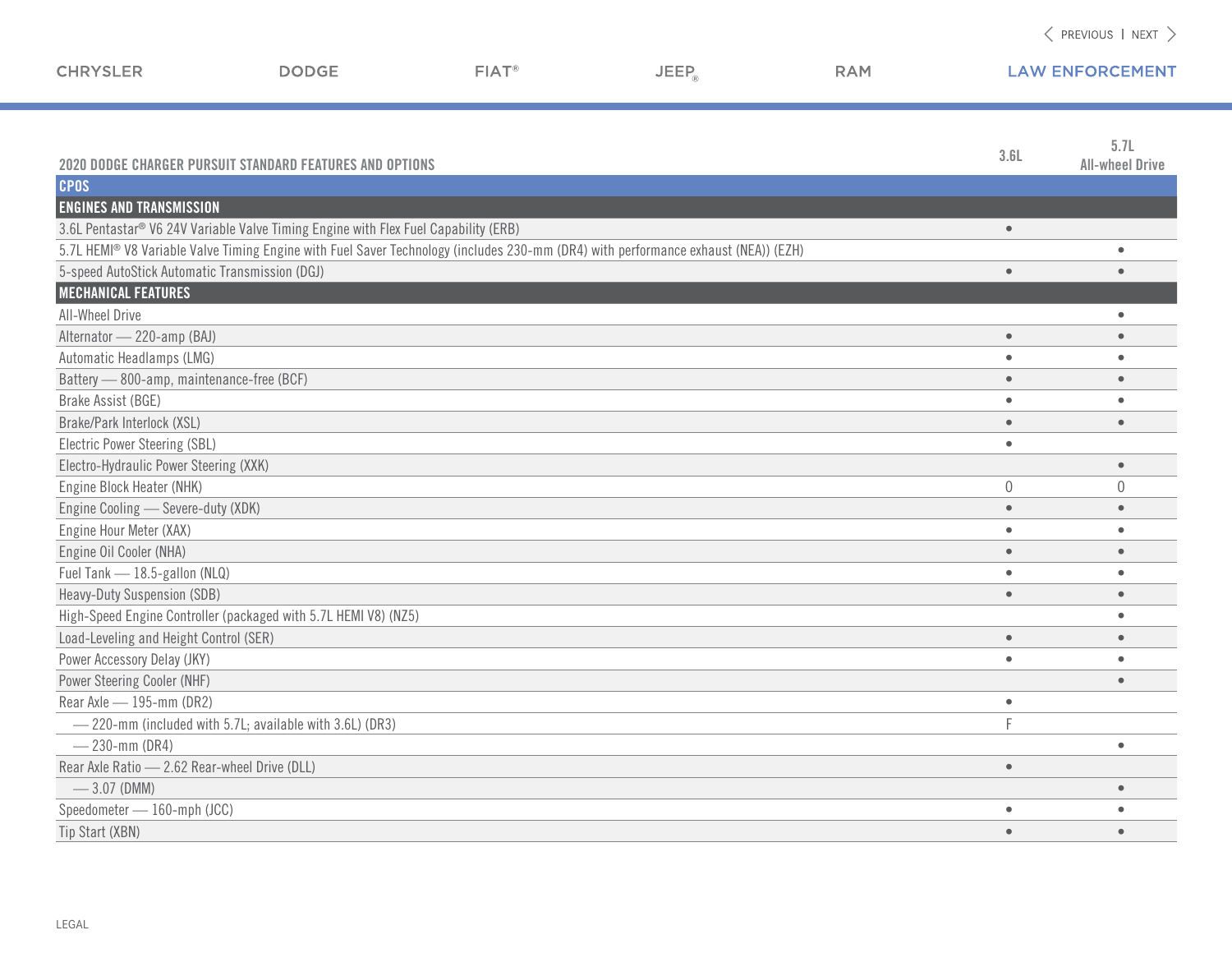| <b>CHRYSLER</b>                                | <b>DODGE</b>                                                                                                                       | FIAT <sup>®</sup> | JEEP <sub>a</sub> | <b>RAM</b> |             | <b>LAW ENFORCEMENT</b>         |
|------------------------------------------------|------------------------------------------------------------------------------------------------------------------------------------|-------------------|-------------------|------------|-------------|--------------------------------|
|                                                | 2020 DODGE CHARGER PURSUIT STANDARD FEATURES AND OPTIONS                                                                           |                   |                   |            | 3.6L        | 5.7L<br><b>All-wheel Drive</b> |
| <b>CPOS</b>                                    |                                                                                                                                    |                   |                   |            |             |                                |
| <b>ENGINES AND TRANSMISSION</b>                |                                                                                                                                    |                   |                   |            |             |                                |
|                                                | 3.6L Pentastar® V6 24V Variable Valve Timing Engine with Flex Fuel Capability (ERB)                                                |                   |                   |            | $\bullet$   |                                |
|                                                | 5.7L HEMI® V8 Variable Valve Timing Engine with Fuel Saver Technology (includes 230-mm (DR4) with performance exhaust (NEA)) (EZH) |                   |                   |            |             | $\bullet$                      |
| 5-speed AutoStick Automatic Transmission (DGJ) |                                                                                                                                    |                   |                   |            | $\bullet$   | $\bullet$                      |
| <b>MECHANICAL FEATURES</b>                     |                                                                                                                                    |                   |                   |            |             |                                |
| All-Wheel Drive                                |                                                                                                                                    |                   |                   |            |             | $\bullet$                      |
| Alternator - 220-amp (BAJ)                     |                                                                                                                                    |                   |                   |            | $\bullet$   | $\bullet$                      |
| Automatic Headlamps (LMG)                      |                                                                                                                                    |                   |                   |            | $\bullet$   | $\bullet$                      |
| Battery - 800-amp, maintenance-free (BCF)      |                                                                                                                                    |                   |                   |            | $\bullet$   | $\bullet$                      |
| Brake Assist (BGE)                             |                                                                                                                                    |                   |                   |            | $\bullet$   | $\bullet$                      |
| Brake/Park Interlock (XSL)                     |                                                                                                                                    |                   |                   |            | $\bullet$   | $\bullet$                      |
| Electric Power Steering (SBL)                  |                                                                                                                                    |                   |                   |            | $\bullet$   |                                |
| Electro-Hydraulic Power Steering (XXK)         |                                                                                                                                    |                   |                   |            |             | $\bullet$                      |
| Engine Block Heater (NHK)                      |                                                                                                                                    |                   |                   |            | $\mathbf 0$ | 0                              |
| Engine Cooling - Severe-duty (XDK)             |                                                                                                                                    |                   |                   |            | $\bullet$   |                                |
| Engine Hour Meter (XAX)                        |                                                                                                                                    |                   |                   |            | $\bullet$   |                                |
| Engine Oil Cooler (NHA)                        |                                                                                                                                    |                   |                   |            | $\bullet$   |                                |
| Fuel Tank - 18.5-gallon (NLQ)                  |                                                                                                                                    |                   |                   |            | $\bullet$   |                                |
| Heavy-Duty Suspension (SDB)                    |                                                                                                                                    |                   |                   |            | $\bullet$   | $\bullet$                      |
|                                                | High-Speed Engine Controller (packaged with 5.7L HEMI V8) (NZ5)                                                                    |                   |                   |            |             | $\bullet$                      |
| Load-Leveling and Height Control (SER)         |                                                                                                                                    |                   |                   |            | $\bullet$   | $\bullet$                      |
| Power Accessory Delay (JKY)                    |                                                                                                                                    |                   |                   |            | $\bullet$   | $\bullet$                      |
| Power Steering Cooler (NHF)                    |                                                                                                                                    |                   |                   |            |             | $\bullet$                      |
| Rear Axle - 195-mm (DR2)                       |                                                                                                                                    |                   |                   |            | $\bullet$   |                                |
|                                                | -220-mm (included with 5.7L; available with 3.6L) (DR3)                                                                            |                   |                   |            | D           |                                |
| $-230$ -mm (DR4)                               |                                                                                                                                    |                   |                   |            |             | $\bullet$                      |
| Rear Axle Ratio - 2.62 Rear-wheel Drive (DLL)  |                                                                                                                                    |                   |                   |            | $\bullet$   |                                |
| $-3.07$ (DMM)                                  |                                                                                                                                    |                   |                   |            |             |                                |
| Speedometer - 160-mph (JCC)                    |                                                                                                                                    |                   |                   |            | $\bullet$   | $\bullet$                      |
| Tip Start (XBN)                                |                                                                                                                                    |                   |                   |            | $\bullet$   | $\bullet$                      |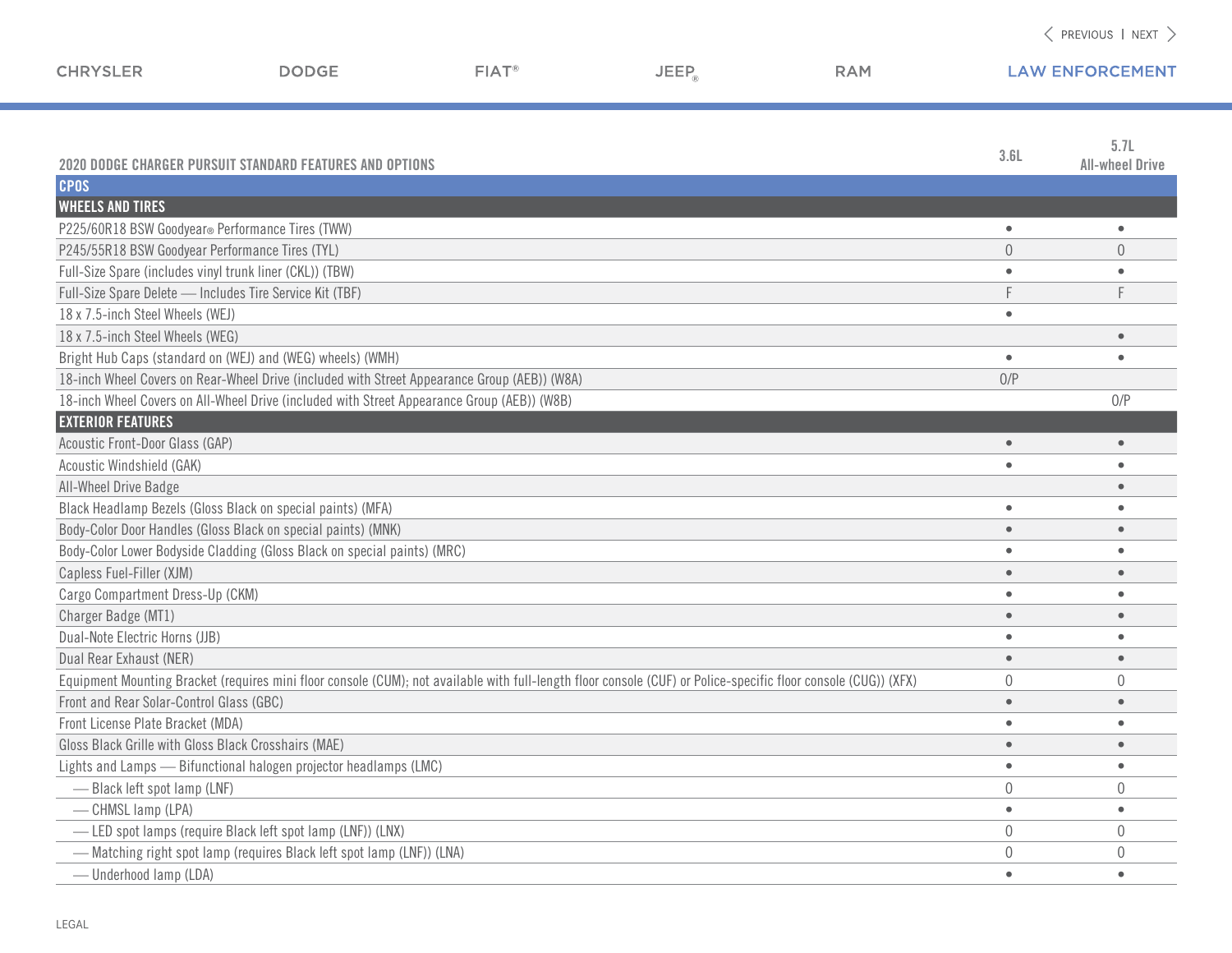| <b>CHRYSLER</b>                                          | <b>DODGE</b>                                                                                                                                                    | FIAT <sup>®</sup> | $JEEP_{\odot}$ | <b>RAM</b> |                | <b>LAW ENFORCEMENT</b>         |
|----------------------------------------------------------|-----------------------------------------------------------------------------------------------------------------------------------------------------------------|-------------------|----------------|------------|----------------|--------------------------------|
|                                                          | 2020 DODGE CHARGER PURSUIT STANDARD FEATURES AND OPTIONS                                                                                                        |                   |                |            | 3.6L           | 5.7L<br><b>All-wheel Drive</b> |
| <b>CPOS</b>                                              |                                                                                                                                                                 |                   |                |            |                |                                |
| <b>WHEELS AND TIRES</b>                                  |                                                                                                                                                                 |                   |                |            |                |                                |
| P225/60R18 BSW Goodyear® Performance Tires (TWW)         |                                                                                                                                                                 |                   |                |            | $\bullet$      | $\bullet$                      |
| P245/55R18 BSW Goodyear Performance Tires (TYL)          |                                                                                                                                                                 |                   |                |            | $\theta$       | $\theta$                       |
| Full-Size Spare (includes vinyl trunk liner (CKL)) (TBW) |                                                                                                                                                                 |                   |                |            |                | $\bullet$                      |
| Full-Size Spare Delete - Includes Tire Service Kit (TBF) |                                                                                                                                                                 |                   |                |            | F              | F                              |
| 18 x 7.5-inch Steel Wheels (WEJ)                         |                                                                                                                                                                 |                   |                |            | $\bullet$      |                                |
| 18 x 7.5-inch Steel Wheels (WEG)                         |                                                                                                                                                                 |                   |                |            |                | $\bullet$                      |
|                                                          | Bright Hub Caps (standard on (WEJ) and (WEG) wheels) (WMH)                                                                                                      |                   |                |            | $\bullet$      | $\bullet$                      |
|                                                          | 18-inch Wheel Covers on Rear-Wheel Drive (included with Street Appearance Group (AEB)) (W8A)                                                                    |                   |                |            | 0/P            |                                |
|                                                          | 18-inch Wheel Covers on All-Wheel Drive (included with Street Appearance Group (AEB)) (W8B)                                                                     |                   |                |            |                | 0/P                            |
| <b>EXTERIOR FEATURES</b>                                 |                                                                                                                                                                 |                   |                |            |                |                                |
| Acoustic Front-Door Glass (GAP)                          |                                                                                                                                                                 |                   |                |            | $\bullet$      | $\bullet$                      |
| Acoustic Windshield (GAK)                                |                                                                                                                                                                 |                   |                |            | $\bullet$      | $\bullet$                      |
| All-Wheel Drive Badge                                    |                                                                                                                                                                 |                   |                |            |                | $\bullet$                      |
|                                                          | Black Headlamp Bezels (Gloss Black on special paints) (MFA)                                                                                                     |                   |                |            | $\bullet$      | $\bullet$                      |
|                                                          | Body-Color Door Handles (Gloss Black on special paints) (MNK)                                                                                                   |                   |                |            | $\bullet$      | $\bullet$                      |
|                                                          | Body-Color Lower Bodyside Cladding (Gloss Black on special paints) (MRC)                                                                                        |                   |                |            | $\bullet$      | $\bullet$                      |
| Capless Fuel-Filler (XJM)                                |                                                                                                                                                                 |                   |                |            | $\bullet$      | $\bullet$                      |
| Cargo Compartment Dress-Up (CKM)                         |                                                                                                                                                                 |                   |                |            | $\bullet$      | $\bullet$                      |
| Charger Badge (MT1)                                      |                                                                                                                                                                 |                   |                |            | $\bullet$      | $\bullet$                      |
| Dual-Note Electric Horns (JJB)                           |                                                                                                                                                                 |                   |                |            | $\bullet$      | $\bullet$                      |
| Dual Rear Exhaust (NER)                                  |                                                                                                                                                                 |                   |                |            | $\bullet$      | $\bullet$                      |
|                                                          | Equipment Mounting Bracket (requires mini floor console (CUM); not available with full-length floor console (CUF) or Police-specific floor console (CUG)) (XFX) |                   |                |            | $\mathbf 0$    | $\theta$                       |
| Front and Rear Solar-Control Glass (GBC)                 |                                                                                                                                                                 |                   |                |            | $\bullet$      | $\bullet$                      |
| Front License Plate Bracket (MDA)                        |                                                                                                                                                                 |                   |                |            | $\bullet$      | $\bullet$                      |
| Gloss Black Grille with Gloss Black Crosshairs (MAE)     |                                                                                                                                                                 |                   |                |            | $\bullet$      | $\bullet$                      |
|                                                          | Lights and Lamps - Bifunctional halogen projector headlamps (LMC)                                                                                               |                   |                |            | $\bullet$      | $\bullet$                      |
| -Black left spot lamp (LNF)                              |                                                                                                                                                                 |                   |                |            | $\overline{0}$ | $\mathbf{0}$                   |
| - CHMSL lamp (LPA)                                       |                                                                                                                                                                 |                   |                |            | $\bullet$      | $\bullet$                      |
|                                                          | -LED spot lamps (require Black left spot lamp (LNF)) (LNX)                                                                                                      |                   |                |            | $\overline{0}$ | $\theta$                       |
|                                                          | - Matching right spot lamp (requires Black left spot lamp (LNF)) (LNA)                                                                                          |                   |                |            | $\overline{0}$ | $\overline{0}$                 |

— Underhood lamp (LDA) • •

a a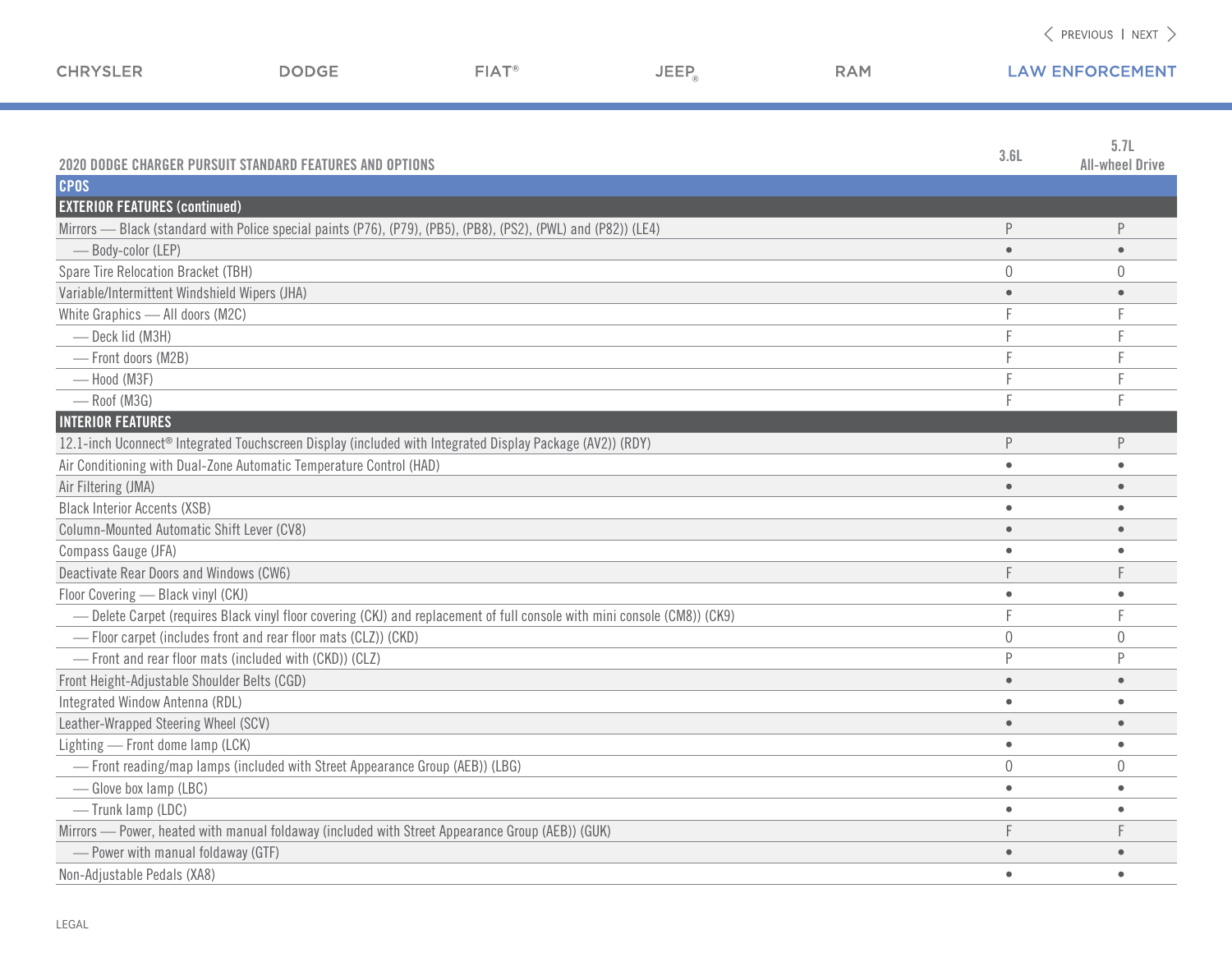| <b>CHRYSLER</b>                               | <b>DODGE</b>                                                                                                              | $FIAT^*$ | <b>JEEP</b> | <b>RAM</b> |           | <b>LAW ENFORCEMENT</b>         |
|-----------------------------------------------|---------------------------------------------------------------------------------------------------------------------------|----------|-------------|------------|-----------|--------------------------------|
|                                               |                                                                                                                           |          |             |            |           |                                |
|                                               | <b>2020 DODGE CHARGER PURSUIT STANDARD FEATURES AND OPTIONS</b>                                                           |          |             |            | 3.6L      | 5.7L<br><b>All-wheel Drive</b> |
| <b>CPOS</b>                                   |                                                                                                                           |          |             |            |           |                                |
| <b>EXTERIOR FEATURES (continued)</b>          |                                                                                                                           |          |             |            |           |                                |
|                                               | Mirrors — Black (standard with Police special paints (P76), (P79), (PB5), (PB8), (PS2), (PWL) and (P82)) (LE4)            |          |             |            | P         |                                |
| - Body-color (LEP)                            |                                                                                                                           |          |             |            | $\bullet$ |                                |
| Spare Tire Relocation Bracket (TBH)           |                                                                                                                           |          |             |            | $\Omega$  | $\left( \right)$               |
| Variable/Intermittent Windshield Wipers (JHA) |                                                                                                                           |          |             |            | $\bullet$ |                                |
| White Graphics - All doors (M2C)              |                                                                                                                           |          |             |            |           |                                |
| - Deck lid (M3H)                              |                                                                                                                           |          |             |            |           |                                |
| - Front doors (M2B)                           |                                                                                                                           |          |             |            |           |                                |
| -Hood (M3F)                                   |                                                                                                                           |          |             |            |           |                                |
| - Roof (M3G)                                  |                                                                                                                           |          |             |            |           |                                |
| <b>INTERIOR FEATURES</b>                      |                                                                                                                           |          |             |            |           |                                |
|                                               | 12.1-inch Uconnect® Integrated Touchscreen Display (included with Integrated Display Package (AV2)) (RDY)                 |          |             |            | P         | P                              |
|                                               | Air Conditioning with Dual-Zone Automatic Temperature Control (HAD)                                                       |          |             |            |           |                                |
| Air Filtering (JMA)                           |                                                                                                                           |          |             |            | $\bullet$ |                                |
| <b>Black Interior Accents (XSB)</b>           |                                                                                                                           |          |             |            | $\bullet$ |                                |
| Column-Mounted Automatic Shift Lever (CV8)    |                                                                                                                           |          |             |            |           |                                |
| Compass Gauge (JFA)                           |                                                                                                                           |          |             |            |           |                                |
| Deactivate Rear Doors and Windows (CW6)       |                                                                                                                           |          |             |            |           |                                |
| Floor Covering - Black vinyl (CKJ)            |                                                                                                                           |          |             |            | $\bullet$ |                                |
|                                               | - Delete Carpet (requires Black vinyl floor covering (CKJ) and replacement of full console with mini console (CM8)) (CK9) |          |             |            |           |                                |
|                                               | - Floor carpet (includes front and rear floor mats (CLZ)) (CKD)                                                           |          |             |            | $\Omega$  | $\Omega$                       |
|                                               | - Front and rear floor mats (included with (CKD)) (CLZ)                                                                   |          |             |            | P         |                                |
| Front Height-Adjustable Shoulder Belts (CGD)  |                                                                                                                           |          |             |            | $\bullet$ |                                |
| Integrated Window Antenna (RDL)               |                                                                                                                           |          |             |            | $\bullet$ |                                |
| Leather-Wrapped Steering Wheel (SCV)          |                                                                                                                           |          |             |            | $\bullet$ | $\bullet$                      |
| Lighting - Front dome lamp (LCK)              |                                                                                                                           |          |             |            |           |                                |
|                                               | - Front reading/map lamps (included with Street Appearance Group (AEB)) (LBG)                                             |          |             |            | $\cup$    | $\cup$                         |
| -Glove box lamp (LBC)                         |                                                                                                                           |          |             |            | $\bullet$ | $\bullet$                      |
| -Trunk lamp (LDC)                             |                                                                                                                           |          |             |            | $\bullet$ | $\bullet$                      |
|                                               | Mirrors - Power, heated with manual foldaway (included with Street Appearance Group (AEB)) (GUK)                          |          |             |            |           |                                |
| - Power with manual foldaway (GTF)            |                                                                                                                           |          |             |            | $\bullet$ |                                |
| Non-Adjustable Pedals (XA8)                   |                                                                                                                           |          |             |            | $\bullet$ | $\bullet$                      |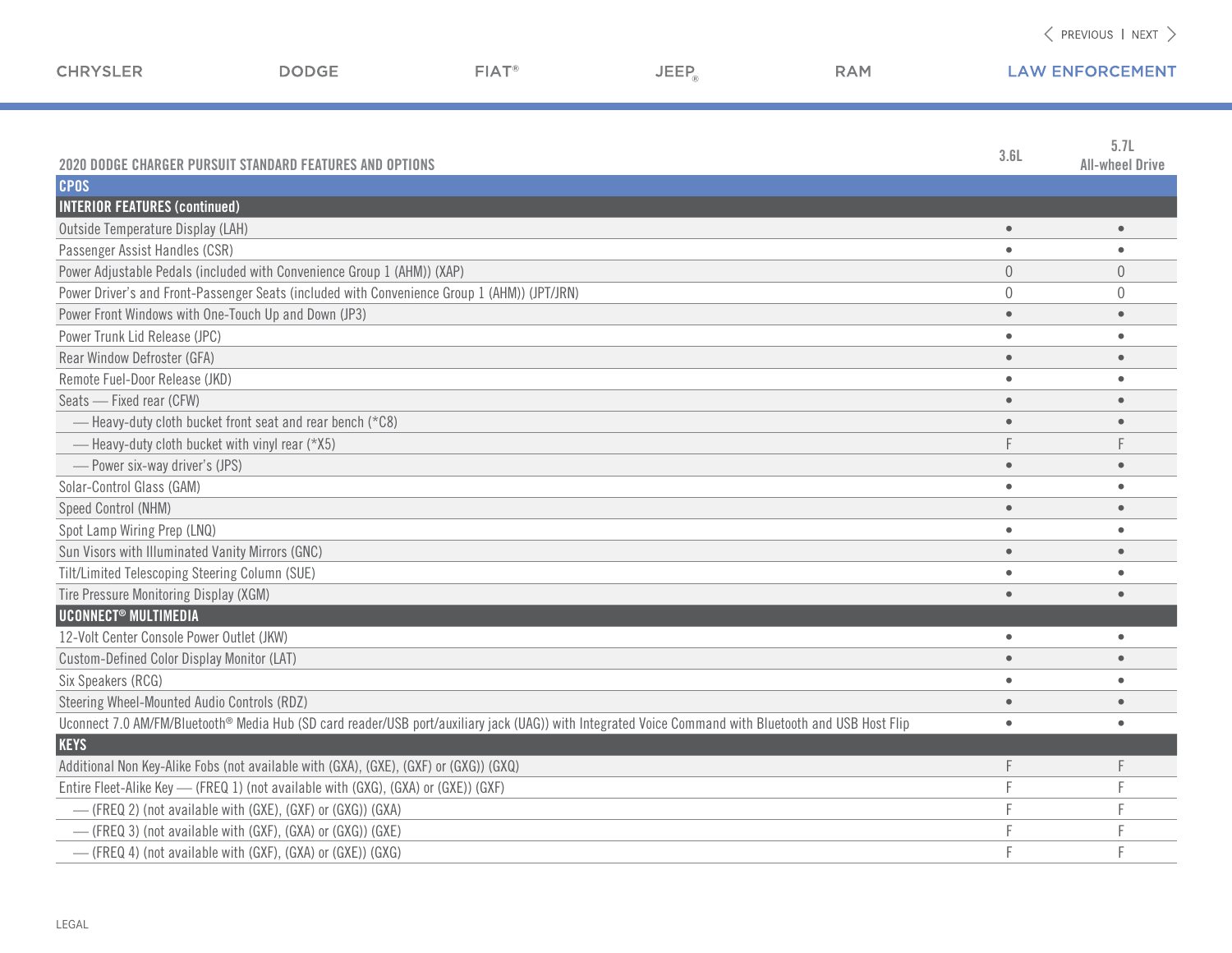| <b>CHRYSLER</b>                                      | <b>DODGE</b>                                                                                 | FIAT <sup>®</sup> | <b>JEEP</b>                                                                                                                                           | <b>RAM</b> |                | <b>LAW ENFORCEMENT</b>         |
|------------------------------------------------------|----------------------------------------------------------------------------------------------|-------------------|-------------------------------------------------------------------------------------------------------------------------------------------------------|------------|----------------|--------------------------------|
|                                                      | <b>2020 DODGE CHARGER PURSUIT STANDARD FEATURES AND OPTIONS</b>                              |                   |                                                                                                                                                       |            | 3.6L           | 5.7L<br><b>All-wheel Drive</b> |
| <b>CPOS</b>                                          |                                                                                              |                   |                                                                                                                                                       |            |                |                                |
| <b>INTERIOR FEATURES (continued)</b>                 |                                                                                              |                   |                                                                                                                                                       |            |                |                                |
| Outside Temperature Display (LAH)                    |                                                                                              |                   |                                                                                                                                                       |            | $\bullet$      |                                |
| Passenger Assist Handles (CSR)                       |                                                                                              |                   |                                                                                                                                                       |            | $\bullet$      |                                |
|                                                      | Power Adjustable Pedals (included with Convenience Group 1 (AHM)) (XAP)                      |                   |                                                                                                                                                       |            | $\overline{0}$ | $\overline{0}$                 |
|                                                      | Power Driver's and Front-Passenger Seats (included with Convenience Group 1 (AHM)) (JPT/JRN) |                   |                                                                                                                                                       |            | $\Omega$       | $\Omega$                       |
| Power Front Windows with One-Touch Up and Down (JP3) |                                                                                              |                   |                                                                                                                                                       |            | $\bullet$      | $\qquad \qquad \bullet$        |
| Power Trunk Lid Release (JPC)                        |                                                                                              |                   |                                                                                                                                                       |            | $\bullet$      |                                |
| Rear Window Defroster (GFA)                          |                                                                                              |                   |                                                                                                                                                       |            | $\bullet$      |                                |
| Remote Fuel-Door Release (JKD)                       |                                                                                              |                   |                                                                                                                                                       |            | $\bullet$      |                                |
| Seats - Fixed rear (CFW)                             |                                                                                              |                   |                                                                                                                                                       |            | $\bullet$      |                                |
|                                                      | - Heavy-duty cloth bucket front seat and rear bench (*C8)                                    |                   |                                                                                                                                                       |            | $\bullet$      |                                |
| - Heavy-duty cloth bucket with vinyl rear (*X5)      |                                                                                              |                   |                                                                                                                                                       |            |                |                                |
| - Power six-way driver's (JPS)                       |                                                                                              |                   |                                                                                                                                                       |            | $\bullet$      |                                |
| Solar-Control Glass (GAM)                            |                                                                                              |                   |                                                                                                                                                       |            | $\bullet$      |                                |
| Speed Control (NHM)                                  |                                                                                              |                   |                                                                                                                                                       |            | $\bullet$      |                                |
| Spot Lamp Wiring Prep (LNQ)                          |                                                                                              |                   |                                                                                                                                                       |            | $\bullet$      |                                |
| Sun Visors with Illuminated Vanity Mirrors (GNC)     |                                                                                              |                   |                                                                                                                                                       |            | $\bullet$      |                                |
| Tilt/Limited Telescoping Steering Column (SUE)       |                                                                                              |                   |                                                                                                                                                       |            | $\bullet$      |                                |
| Tire Pressure Monitoring Display (XGM)               |                                                                                              |                   |                                                                                                                                                       |            | $\bullet$      |                                |
| <b>UCONNECT<sup>®</sup> MULTIMEDIA</b>               |                                                                                              |                   |                                                                                                                                                       |            |                |                                |
| 12-Volt Center Console Power Outlet (JKW)            |                                                                                              |                   |                                                                                                                                                       |            | $\bullet$      |                                |
| Custom-Defined Color Display Monitor (LAT)           |                                                                                              |                   |                                                                                                                                                       |            | $\bullet$      |                                |
| Six Speakers (RCG)                                   |                                                                                              |                   |                                                                                                                                                       |            | $\bullet$      |                                |
| Steering Wheel-Mounted Audio Controls (RDZ)          |                                                                                              |                   |                                                                                                                                                       |            | $\bullet$      |                                |
|                                                      |                                                                                              |                   | Uconnect 7.0 AM/FM/Bluetooth® Media Hub (SD card reader/USB port/auxiliary jack (UAG)) with Integrated Voice Command with Bluetooth and USB Host Flip |            | $\bullet$      |                                |
| <b>KEYS</b>                                          |                                                                                              |                   |                                                                                                                                                       |            |                |                                |
|                                                      | Additional Non Key-Alike Fobs (not available with (GXA), (GXE), (GXF) or (GXG)) (GXQ)        |                   |                                                                                                                                                       |            | F              |                                |
|                                                      | Entire Fleet-Alike Key - (FREQ 1) (not available with (GXG), (GXA) or (GXE)) (GXF)           |                   |                                                                                                                                                       |            |                |                                |
|                                                      | -(FREQ 2) (not available with (GXE), (GXF) or (GXG)) (GXA)                                   |                   |                                                                                                                                                       |            |                |                                |
|                                                      | -(FREQ 3) (not available with (GXF), (GXA) or (GXG)) (GXE)                                   |                   |                                                                                                                                                       |            |                |                                |
|                                                      | -(FREQ 4) (not available with (GXF), (GXA) or (GXE)) (GXG)                                   |                   |                                                                                                                                                       |            |                |                                |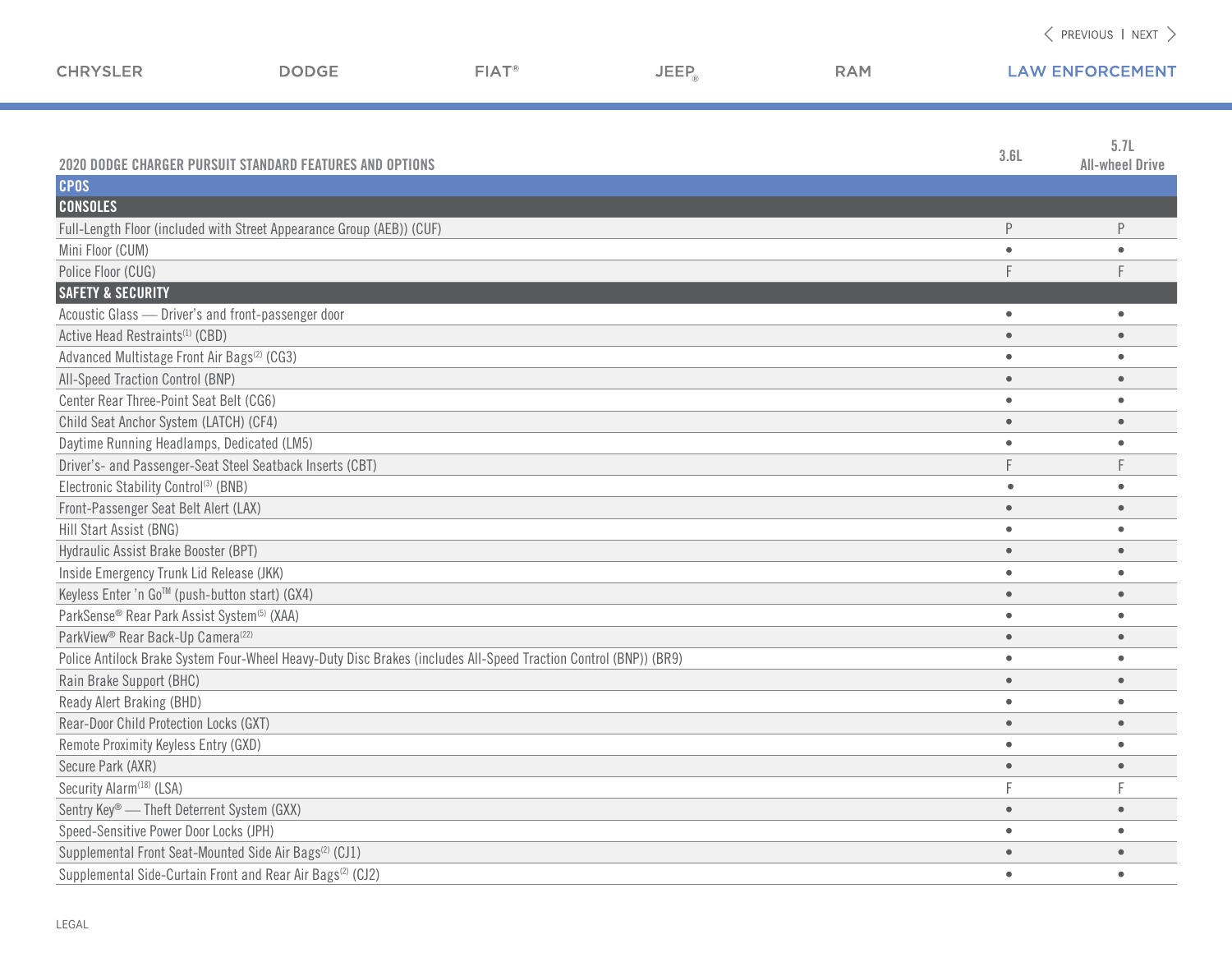| <b>CHRYSLER</b>                                         | <b>DODGE</b>                                                                                                     | FIAT <sup>®</sup> | JEEP <sub>a</sub> | <b>RAM</b> | <b>LAW ENFORCEMENT</b> |                        |
|---------------------------------------------------------|------------------------------------------------------------------------------------------------------------------|-------------------|-------------------|------------|------------------------|------------------------|
|                                                         |                                                                                                                  |                   |                   |            |                        |                        |
|                                                         |                                                                                                                  |                   |                   |            |                        |                        |
|                                                         |                                                                                                                  |                   |                   |            |                        | 5.7L                   |
|                                                         | <b>2020 DODGE CHARGER PURSUIT STANDARD FEATURES AND OPTIONS</b>                                                  |                   |                   |            | 3.6L                   | <b>All-wheel Drive</b> |
| <b>CPOS</b>                                             |                                                                                                                  |                   |                   |            |                        |                        |
| <b>CONSOLES</b>                                         |                                                                                                                  |                   |                   |            |                        |                        |
|                                                         | Full-Length Floor (included with Street Appearance Group (AEB)) (CUF)                                            |                   |                   |            | $\mathsf P$            | P                      |
| Mini Floor (CUM)                                        |                                                                                                                  |                   |                   |            | $\bullet$              | $\bullet$              |
| Police Floor (CUG)                                      |                                                                                                                  |                   |                   |            |                        |                        |
| <b>SAFETY &amp; SECURITY</b>                            |                                                                                                                  |                   |                   |            |                        |                        |
| Acoustic Glass - Driver's and front-passenger door      |                                                                                                                  |                   |                   |            | $\bullet$              | $\bullet$              |
| Active Head Restraints <sup>(1)</sup> (CBD)             |                                                                                                                  |                   |                   |            | $\bullet$              |                        |
| Advanced Multistage Front Air Bags <sup>(2)</sup> (CG3) |                                                                                                                  |                   |                   |            | $\bullet$              |                        |
| All-Speed Traction Control (BNP)                        |                                                                                                                  |                   |                   |            | $\bullet$              |                        |
| Center Rear Three-Point Seat Belt (CG6)                 |                                                                                                                  |                   |                   |            | $\bullet$              |                        |
| Child Seat Anchor System (LATCH) (CF4)                  |                                                                                                                  |                   |                   |            | $\bullet$              | $\bullet$              |
| Daytime Running Headlamps, Dedicated (LM5)              |                                                                                                                  |                   |                   |            | $\bullet$              |                        |
|                                                         | Driver's- and Passenger-Seat Steel Seatback Inserts (CBT)                                                        |                   |                   |            |                        |                        |
| Electronic Stability Control <sup>(3)</sup> (BNB)       |                                                                                                                  |                   |                   |            | $\bullet$              |                        |
| Front-Passenger Seat Belt Alert (LAX)                   |                                                                                                                  |                   |                   |            | $\bullet$              |                        |
| Hill Start Assist (BNG)                                 |                                                                                                                  |                   |                   |            | $\bullet$              |                        |
| Hydraulic Assist Brake Booster (BPT)                    |                                                                                                                  |                   |                   |            | $\bullet$              | $\bullet$              |
| Inside Emergency Trunk Lid Release (JKK)                |                                                                                                                  |                   |                   |            | $\bullet$              | $\bullet$              |
| Keyless Enter 'n Go™ (push-button start) (GX4)          |                                                                                                                  |                   |                   |            | $\bullet$              |                        |
| ParkSense® Rear Park Assist System <sup>(5)</sup> (XAA) |                                                                                                                  |                   |                   |            | $\bullet$              |                        |
| ParkView® Rear Back-Up Camera <sup>(22)</sup>           |                                                                                                                  |                   |                   |            | $\bullet$              | $\bullet$              |
|                                                         | Police Antilock Brake System Four-Wheel Heavy-Duty Disc Brakes (includes All-Speed Traction Control (BNP)) (BR9) |                   |                   |            | $\bullet$              |                        |
| Rain Brake Support (BHC)                                |                                                                                                                  |                   |                   |            | $\bullet$              | $\bullet$              |
| Ready Alert Braking (BHD)                               |                                                                                                                  |                   |                   |            | $\bullet$              |                        |
| Rear-Door Child Protection Locks (GXT)                  |                                                                                                                  |                   |                   |            | $\bullet$              |                        |
| Remote Proximity Keyless Entry (GXD)                    |                                                                                                                  |                   |                   |            | $\bullet$              | $\bullet$              |
| Secure Park (AXR)                                       |                                                                                                                  |                   |                   |            | $\bullet$              | $\bullet$              |
| Security Alarm <sup>(18)</sup> (LSA)                    |                                                                                                                  |                   |                   |            |                        |                        |
| Sentry Key® - Theft Deterrent System (GXX)              |                                                                                                                  |                   |                   |            | $\bullet$              |                        |
| Speed-Sensitive Power Door Locks (JPH)                  |                                                                                                                  |                   |                   |            | $\bullet$              |                        |
|                                                         | Supplemental Front Seat-Mounted Side Air Bags <sup>(2)</sup> (CJ1)                                               |                   |                   |            | $\bullet$              |                        |
|                                                         | Supplemental Side-Curtain Front and Rear Air Bags <sup>(2)</sup> (CJ2)                                           |                   |                   |            | $\bullet$              | $\bullet$              |